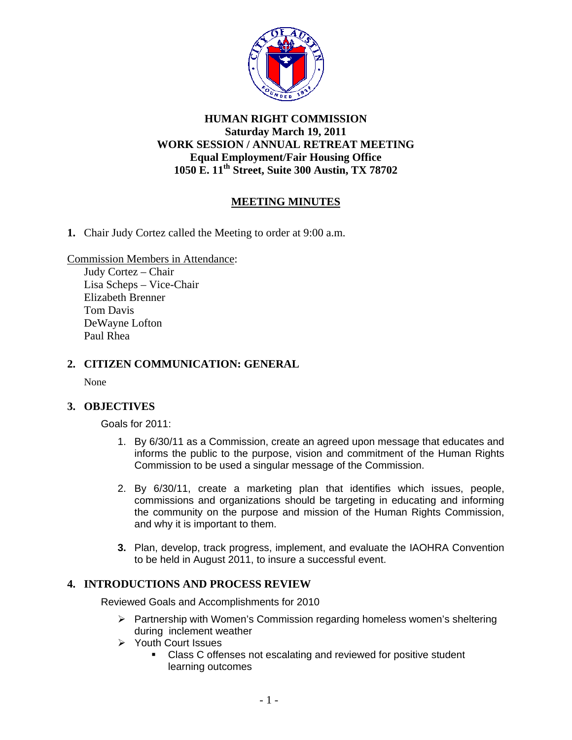

# **HUMAN RIGHT COMMISSION Saturday March 19, 2011 WORK SESSION / ANNUAL RETREAT MEETING Equal Employment/Fair Housing Office 1050 E. 11th Street, Suite 300 Austin, TX 78702**

# **MEETING MINUTES**

**1.** Chair Judy Cortez called the Meeting to order at 9:00 a.m.

Commission Members in Attendance:

Judy Cortez – Chair Lisa Scheps – Vice-Chair Elizabeth Brenner Tom Davis DeWayne Lofton Paul Rhea

## **2. CITIZEN COMMUNICATION: GENERAL**

None

## **3. OBJECTIVES**

Goals for 2011:

- 1. By 6/30/11 as a Commission, create an agreed upon message that educates and informs the public to the purpose, vision and commitment of the Human Rights Commission to be used a singular message of the Commission.
- 2. By 6/30/11, create a marketing plan that identifies which issues, people, commissions and organizations should be targeting in educating and informing the community on the purpose and mission of the Human Rights Commission, and why it is important to them.
- **3.** Plan, develop, track progress, implement, and evaluate the IAOHRA Convention to be held in August 2011, to insure a successful event.

# **4. INTRODUCTIONS AND PROCESS REVIEW**

Reviewed Goals and Accomplishments for 2010

- ¾ Partnership with Women's Commission regarding homeless women's sheltering during inclement weather
- ¾ Youth Court Issues
	- Class C offenses not escalating and reviewed for positive student learning outcomes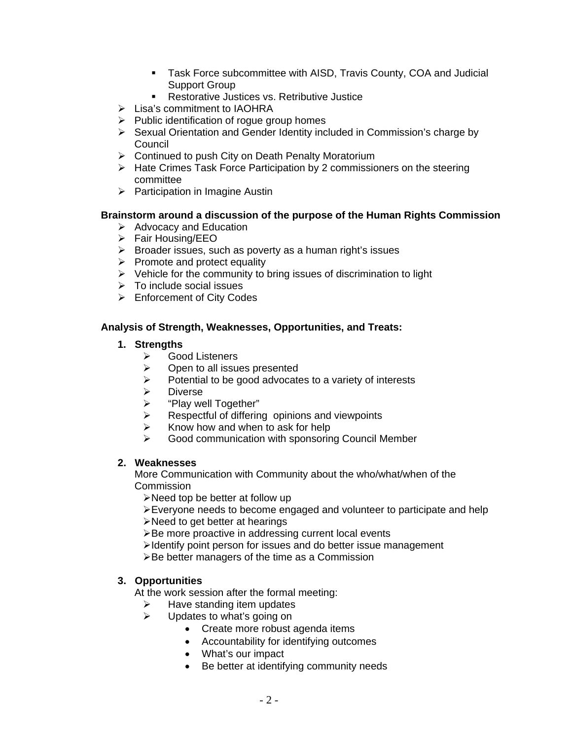- **Task Force subcommittee with AISD, Travis County, COA and Judicial** Support Group
- **Restorative Justices vs. Retributive Justice**
- $\triangleright$  Lisa's commitment to IAOHRA
- $\triangleright$  Public identification of rogue group homes
- ¾ Sexual Orientation and Gender Identity included in Commission's charge by Council
- $\triangleright$  Continued to push City on Death Penalty Moratorium
- ¾ Hate Crimes Task Force Participation by 2 commissioners on the steering committee
- $\triangleright$  Participation in Imagine Austin

## **Brainstorm around a discussion of the purpose of the Human Rights Commission**

- $\triangleright$  Advocacy and Education
- ¾ Fair Housing/EEO
- $\triangleright$  Broader issues, such as poverty as a human right's issues
- $\triangleright$  Promote and protect equality
- $\triangleright$  Vehicle for the community to bring issues of discrimination to light
- $\triangleright$  To include social issues
- $\triangleright$  Enforcement of City Codes

## **Analysis of Strength, Weaknesses, Opportunities, and Treats:**

## **1. Strengths**

- ¾ Good Listeners
- $\triangleright$  Open to all issues presented
- $\triangleright$  Potential to be good advocates to a variety of interests
- ¾ Diverse
- $\triangleright$  "Play well Together"
- $\triangleright$  Respectful of differing opinions and viewpoints
- $\triangleright$  Know how and when to ask for help
- $\triangleright$  Good communication with sponsoring Council Member

# **2. Weaknesses**

More Communication with Community about the who/what/when of the Commission

¾Need top be better at follow up

¾Everyone needs to become engaged and volunteer to participate and help

¾Need to get better at hearings

¾Be more proactive in addressing current local events

¾Identify point person for issues and do better issue management

¾Be better managers of the time as a Commission

## **3. Opportunities**

At the work session after the formal meeting:

- $\blacktriangleright$  Have standing item updates
- $\triangleright$  Updates to what's going on
	- Create more robust agenda items
	- Accountability for identifying outcomes
	- What's our impact
	- Be better at identifying community needs